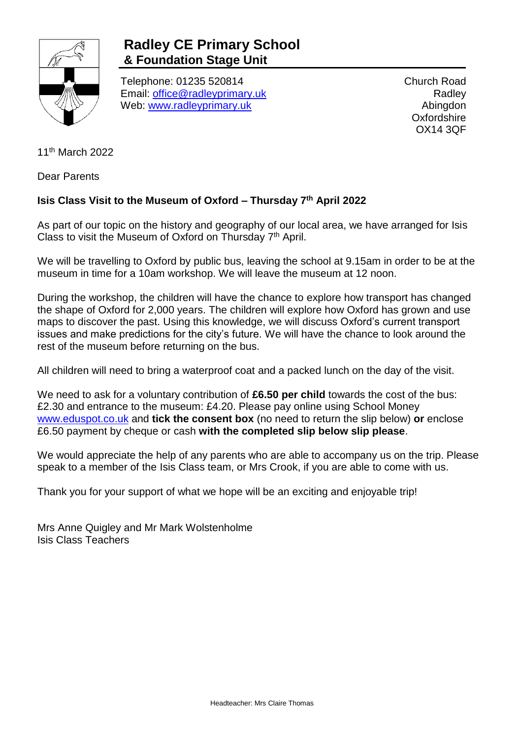

## **Radley CE Primary School & Foundation Stage Unit**

Telephone: 01235 520814 Email: [office@radleyprimary.uk](mailto:office@radleyprimary.uk) Web: [www.radleyprimary.uk](http://www.radleyprimary.uk/)

Church Road **Radley** Abingdon **Oxfordshire** OX14 3QF

11th March 2022

Dear Parents

## **Isis Class Visit to the Museum of Oxford – Thursday 7th April 2022**

As part of our topic on the history and geography of our local area, we have arranged for Isis Class to visit the Museum of Oxford on Thursday  $7<sup>th</sup>$  April.

We will be travelling to Oxford by public bus, leaving the school at 9.15am in order to be at the museum in time for a 10am workshop. We will leave the museum at 12 noon.

During the workshop, the children will have the chance to explore how transport has changed the shape of Oxford for 2,000 years. The children will explore how Oxford has grown and use maps to discover the past. Using this knowledge, we will discuss Oxford's current transport issues and make predictions for the city's future. We will have the chance to look around the rest of the museum before returning on the bus.

All children will need to bring a waterproof coat and a packed lunch on the day of the visit.

We need to ask for a voluntary contribution of **£6.50 per child** towards the cost of the bus: £2.30 and entrance to the museum: £4.20. Please pay online using School Money [www.eduspot.co.uk](http://www.eduspot.co.uk/) and **tick the consent box** (no need to return the slip below) **or** enclose £6.50 payment by cheque or cash **with the completed slip below slip please**.

We would appreciate the help of any parents who are able to accompany us on the trip. Please speak to a member of the Isis Class team, or Mrs Crook, if you are able to come with us.

Thank you for your support of what we hope will be an exciting and enjoyable trip!

Mrs Anne Quigley and Mr Mark Wolstenholme Isis Class Teachers